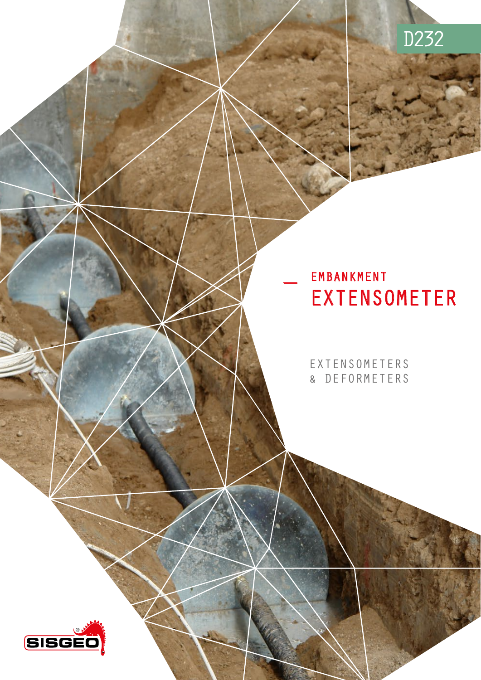# D232

## EMBANKMENT EXTENSOMETER

EXTENSOMETERS & DEFORMETERS

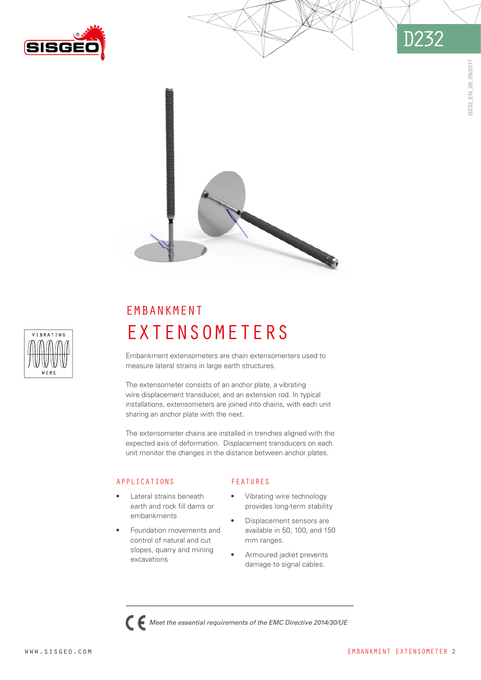







## EMBANKMENT **EXTENSOMETERS**

Embankment extensometers are chain extensomerters used to measure lateral strains in large earth structures.

The extensometer consists of an anchor plate, a vibrating wire displacement transducer, and an extension rod. In typical installations, extensometers are joined into chains, with each unit sharing an anchor plate with the next.

The extensometer chains are installed in trenches aligned with the expected axis of deformation. Displacement transducers on each unit monitor the changes in the distance between anchor plates.

### APPLICATIONS

- Lateral strains beneath earth and rock fill dams or embankments
- Foundation movements and control of natural and cut slopes, quarry and mining excavations

## FEATURES

- Vibrating wire technology provides long-term stability
- Displacement sensors are available in 50, 100, and 150 mm ranges.
- Armoured jacket prevents damage to signal cables.



*Meet the essential requirements of the EMC Directive 2014/30/UE*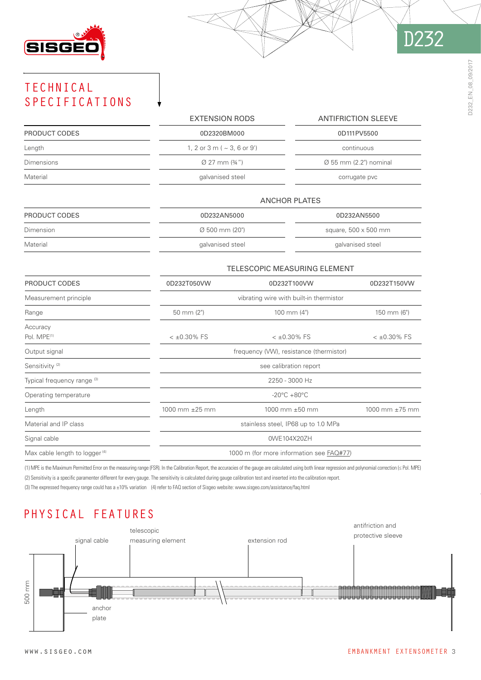

# D232

## TECHNICAL SPECIFICATIONS

|                                           | <b>EXTENSION RODS</b>                    |                | <b>ANTIFRICTION SLEEVE</b>         |  |
|-------------------------------------------|------------------------------------------|----------------|------------------------------------|--|
| PRODUCT CODES                             | 0D2320BM000                              |                | 0D111PV5500                        |  |
| Length                                    | 1, 2 or 3 m ( $\sim$ 3, 6 or 9')         |                | continuous                         |  |
| <b>Dimensions</b>                         | $\varnothing$ 27 mm $(34")$              |                | $\varnothing$ 55 mm (2.2") nominal |  |
| Material                                  | galvanised steel                         |                | corrugate pvc                      |  |
|                                           | <b>ANCHOR PLATES</b>                     |                |                                    |  |
| PRODUCT CODES                             | 0D232AN5000                              |                | 0D232AN5500                        |  |
| Dimension                                 | Ø 500 mm (20")                           |                | square, 500 x 500 mm               |  |
| Material                                  | galvanised steel                         |                | galvanised steel                   |  |
|                                           | TELESCOPIC MEASURING ELEMENT             |                |                                    |  |
| PRODUCT CODES                             | 0D232T050VW                              | 0D232T100VW    | 0D232T150VW                        |  |
| Measurement principle                     | vibrating wire with built-in thermistor  |                |                                    |  |
| Range                                     | 50 mm (2")                               | 100 mm $(4")$  | 150 mm (6")                        |  |
| Accuracy<br>Pol. MPE <sup>(1)</sup>       | $<$ ±0.30% FS                            | $<$ ±0.30% FS  | $< \pm 0.30\%$ FS                  |  |
| Output signal                             | frequency (VW), resistance (thermistor)  |                |                                    |  |
| Sensitivity <sup>(2)</sup>                | see calibration report                   |                |                                    |  |
| Typical frequency range (3)               | 2250 - 3000 Hz                           |                |                                    |  |
| Operating temperature                     | $-20^{\circ}$ C +80 $^{\circ}$ C         |                |                                    |  |
| Length                                    | 1000 mm ±25 mm                           | 1000 mm ±50 mm | 1000 mm ±75 mm                     |  |
| Material and IP class                     | stainless steel, IP68 up to 1.0 MPa      |                |                                    |  |
| Signal cable                              | 0WE104X20ZH                              |                |                                    |  |
| Max cable length to logger <sup>(4)</sup> | 1000 m (for more information see FAQ#77) |                |                                    |  |

(1) MPE is the Maximum Permitted Error on the measuring range (FSR). In the Calibration Report, the accuracies of the gauge are calculated using both linear regression and polynomial correction (≤ Pol. MPE) (2) Sensitivity is a specific paramenter different for every gauge. The sensitivity is calculated during gauge calibration test and inserted into the calibration report. (3) The expressed frequency range could has a ±10% variation (4) refer to FAQ section of Sisgeo website: [www.sisgeo.com/assistance/faq.html](http://www.sisgeo.com/assistance/faq.html)

## PHYSICAL FEATURES